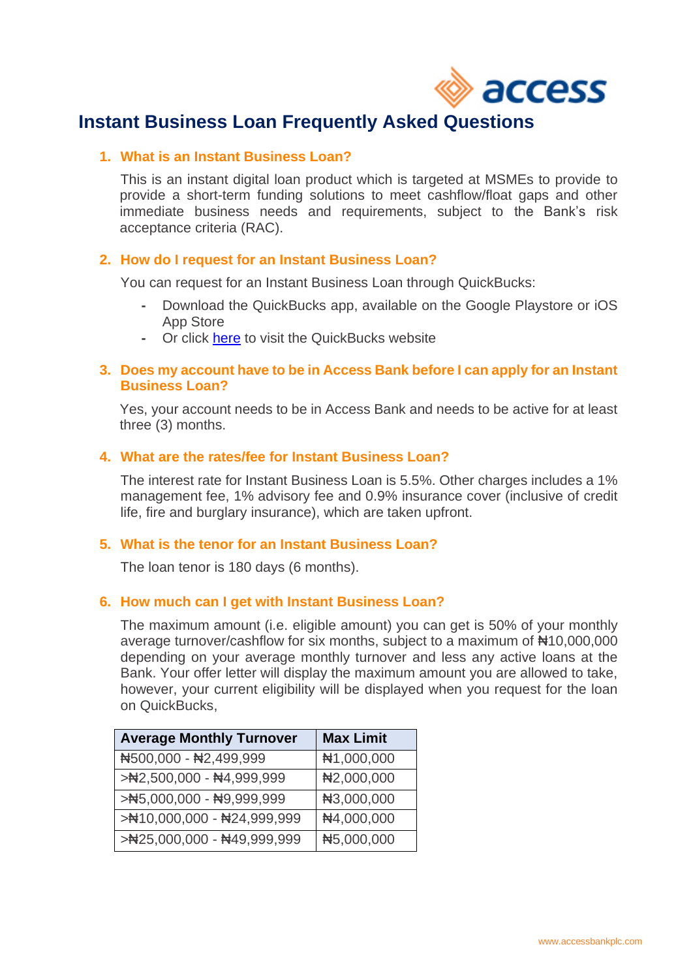

# **Instant Business Loan Frequently Asked Questions**

# **1. What is an Instant Business Loan?**

This is an instant digital loan product which is targeted at MSMEs to provide to provide a short-term funding solutions to meet cashflow/float gaps and other immediate business needs and requirements, subject to the Bank's risk acceptance criteria (RAC).

# **2. How do I request for an Instant Business Loan?**

You can request for an Instant Business Loan through QuickBucks:

- **-** Download the QuickBucks app, available on the Google Playstore or iOS App Store
- **-** Or click [here](https://quickbucks.accessbankplc.com/) to visit the QuickBucks website

# **3. Does my account have to be in Access Bank before I can apply for an Instant Business Loan?**

Yes, your account needs to be in Access Bank and needs to be active for at least three (3) months.

# **4. What are the rates/fee for Instant Business Loan?**

The interest rate for Instant Business Loan is 5.5%. Other charges includes a 1% management fee, 1% advisory fee and 0.9% insurance cover (inclusive of credit life, fire and burglary insurance), which are taken upfront.

#### **5. What is the tenor for an Instant Business Loan?**

The loan tenor is 180 days (6 months).

#### **6. How much can I get with Instant Business Loan?**

The maximum amount (i.e. eligible amount) you can get is 50% of your monthly average turnover/cashflow for six months, subject to a maximum of ₦10,000,000 depending on your average monthly turnover and less any active loans at the Bank. Your offer letter will display the maximum amount you are allowed to take, however, your current eligibility will be displayed when you request for the loan on QuickBucks,

| <b>Average Monthly Turnover</b>                                       | <b>Max Limit</b> |
|-----------------------------------------------------------------------|------------------|
| N500,000 - N2,499,999                                                 | #1,000,000       |
| >N2,500,000 - N4,999,999                                              | N2,000,000       |
| > $\blacktriangleright$ 45,000,000 - $\blacktriangleleft$ 9,999,999   | N3,000,000       |
| > $\blacktriangleright$ 410,000,000 - $\blacktriangleleft$ 24,999,999 | N4,000,000       |
| > $\blacktriangleright$ 425,000,000 - $\blacktriangleleft$ 49,999,999 | N5,000,000       |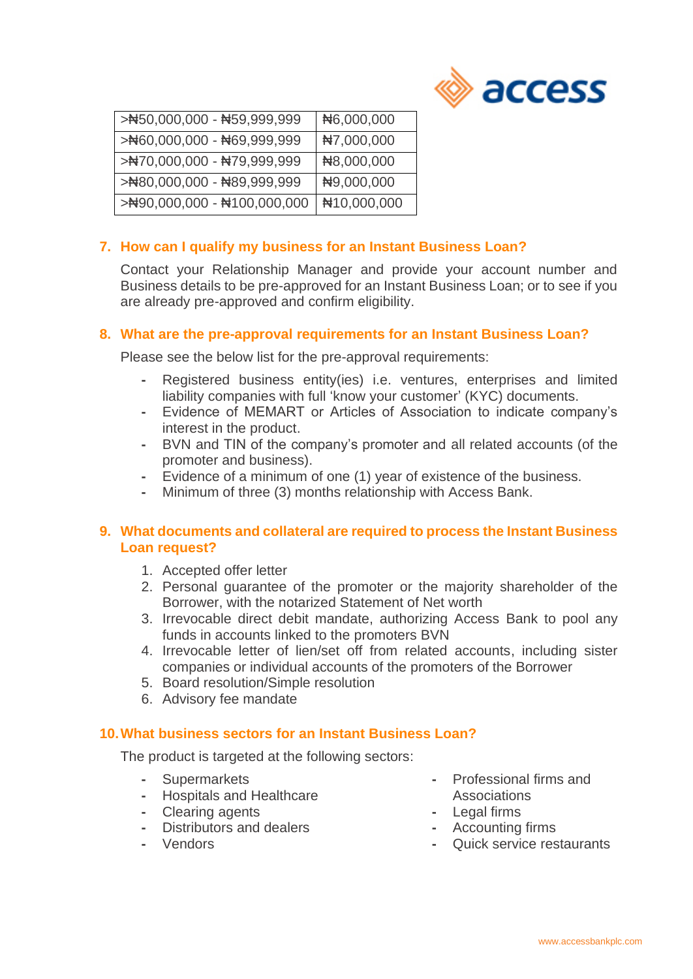

| > $\blacktriangleright$ 450,000,000 - $\blacktriangleleft$ 59,999,999 | N6,000,000  |
|-----------------------------------------------------------------------|-------------|
| > N60,000,000 - N69,999,999                                           | N7,000,000  |
| >N70,000,000 - N79,999,999                                            | N8,000,000  |
| > $\blacktriangleright$ 80,000,000 - \$89,999,999                     | N9,000,000  |
|                                                                       | #10,000,000 |

# **7. How can I qualify my business for an Instant Business Loan?**

Contact your Relationship Manager and provide your account number and Business details to be pre-approved for an Instant Business Loan; or to see if you are already pre-approved and confirm eligibility.

# **8. What are the pre-approval requirements for an Instant Business Loan?**

Please see the below list for the pre-approval requirements:

- **-** Registered business entity(ies) i.e. ventures, enterprises and limited liability companies with full 'know your customer' (KYC) documents.
- **-** Evidence of MEMART or Articles of Association to indicate company's interest in the product.
- **-** BVN and TIN of the company's promoter and all related accounts (of the promoter and business).
- **-** Evidence of a minimum of one (1) year of existence of the business.
- **-** Minimum of three (3) months relationship with Access Bank.

# **9. What documents and collateral are required to process the Instant Business Loan request?**

- 1. Accepted offer letter
- 2. Personal guarantee of the promoter or the majority shareholder of the Borrower, with the notarized Statement of Net worth
- 3. Irrevocable direct debit mandate, authorizing Access Bank to pool any funds in accounts linked to the promoters BVN
- 4. Irrevocable letter of lien/set off from related accounts, including sister companies or individual accounts of the promoters of the Borrower
- 5. Board resolution/Simple resolution
- 6. Advisory fee mandate

#### **10.What business sectors for an Instant Business Loan?**

The product is targeted at the following sectors:

- **-** Supermarkets
- **-** Hospitals and Healthcare
- **-** Clearing agents
- **-** Distributors and dealers
- **-** Vendors
- **-** Professional firms and Associations
- **-** Legal firms
- **-** Accounting firms
- **-** Quick service restaurants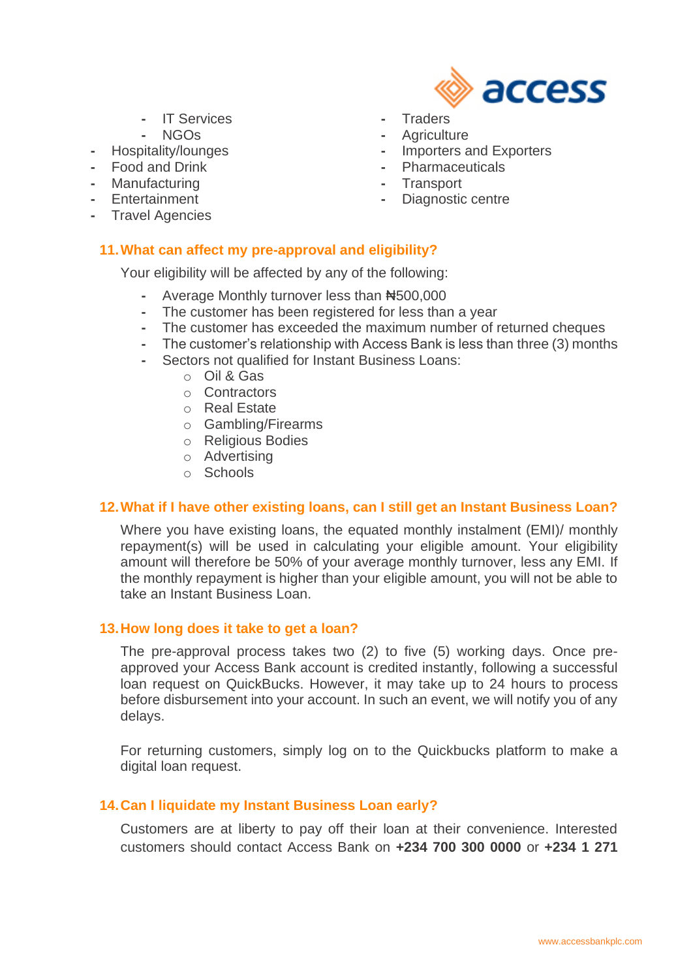- **-** IT Services
- **-** NGOs
- **-** Hospitality/lounges
- **-** Food and Drink
- **-** Manufacturing
- **-** Entertainment
- **-** Travel Agencies

# **11.What can affect my pre-approval and eligibility?**

Your eligibility will be affected by any of the following:

- **-** Average Monthly turnover less than ₦500,000
- **-** The customer has been registered for less than a year
- **-** The customer has exceeded the maximum number of returned cheques
- **-** The customer's relationship with Access Bank is less than three (3) months
- **-** Sectors not qualified for Instant Business Loans:
	- o Oil & Gas
	- o Contractors
	- o Real Estate
	- o Gambling/Firearms
	- o Religious Bodies
	- o Advertising
	- o Schools

#### **12.What if I have other existing loans, can I still get an Instant Business Loan?**

Where you have existing loans, the equated monthly instalment (EMI)/ monthly repayment(s) will be used in calculating your eligible amount. Your eligibility amount will therefore be 50% of your average monthly turnover, less any EMI. If the monthly repayment is higher than your eligible amount, you will not be able to take an Instant Business Loan.

#### **13.How long does it take to get a loan?**

The pre-approval process takes two (2) to five (5) working days. Once preapproved your Access Bank account is credited instantly, following a successful loan request on QuickBucks. However, it may take up to 24 hours to process before disbursement into your account. In such an event, we will notify you of any delays.

For returning customers, simply log on to the Quickbucks platform to make a digital loan request.

#### **14.Can I liquidate my Instant Business Loan early?**

Customers are at liberty to pay off their loan at their convenience. Interested customers should contact Access Bank on **+234 700 300 0000** or **+234 1 271** 

- access
- **-** Traders
- **-** Agriculture
- **-** Importers and Exporters
- **-** Pharmaceuticals
- **-** Transport
- **-** Diagnostic centre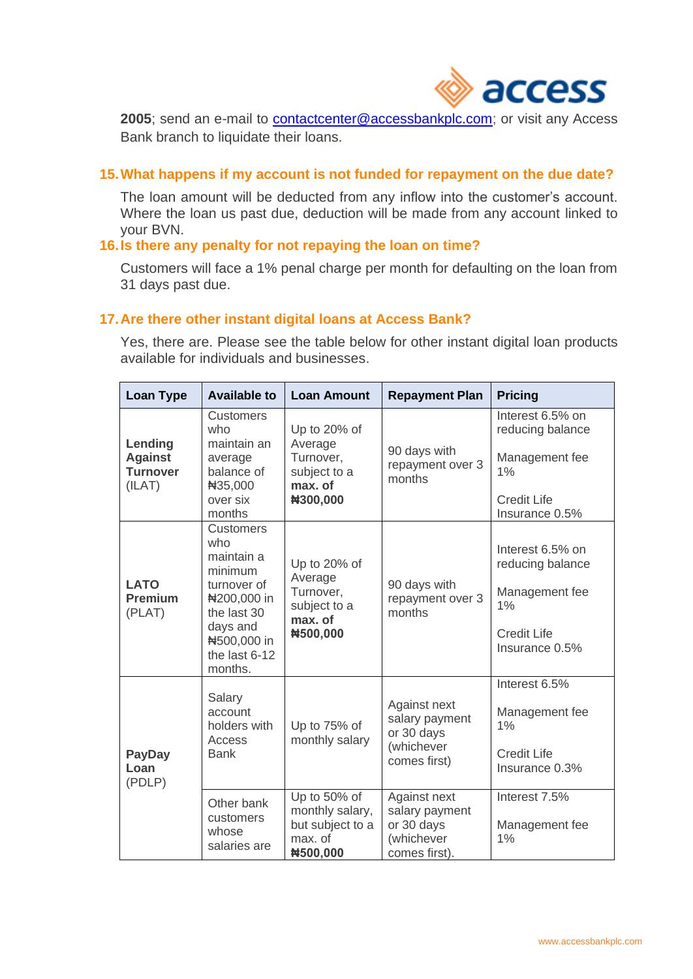

**2005**; send an e-mail to [contactcenter@accessbankplc.com;](mailto:contactcenter@accessbankplc.com) or visit any Access Bank branch to liquidate their loans.

# **15.What happens if my account is not funded for repayment on the due date?**

The loan amount will be deducted from any inflow into the customer's account. Where the loan us past due, deduction will be made from any account linked to your BVN.

#### **16.Is there any penalty for not repaying the loan on time?**

Customers will face a 1% penal charge per month for defaulting on the loan from 31 days past due.

# **17.Are there other instant digital loans at Access Bank?**

Yes, there are. Please see the table below for other instant digital loan products available for individuals and businesses.

| <b>Loan Type</b>                                       | <b>Available to</b>                                                                                                                                  | <b>Loan Amount</b>                                                          | <b>Repayment Plan</b>                                                       | <b>Pricing</b>                                                                                       |
|--------------------------------------------------------|------------------------------------------------------------------------------------------------------------------------------------------------------|-----------------------------------------------------------------------------|-----------------------------------------------------------------------------|------------------------------------------------------------------------------------------------------|
| Lending<br><b>Against</b><br><b>Turnover</b><br>(ILAT) | <b>Customers</b><br>who<br>maintain an<br>average<br>balance of<br>#35,000<br>over six<br>months                                                     | Up to 20% of<br>Average<br>Turnover,<br>subject to a<br>max. of<br>#300,000 | 90 days with<br>repayment over 3<br>months                                  | Interest 6.5% on<br>reducing balance<br>Management fee<br>1%<br><b>Credit Life</b><br>Insurance 0.5% |
| <b>LATO</b><br><b>Premium</b><br>(PLAT)                | <b>Customers</b><br>who<br>maintain a<br>minimum<br>turnover of<br>#200,000 in<br>the last 30<br>days and<br>#500,000 in<br>the last 6-12<br>months. | Up to 20% of<br>Average<br>Turnover,<br>subject to a<br>max. of<br>#500,000 | 90 days with<br>repayment over 3<br>months                                  | Interest 6.5% on<br>reducing balance<br>Management fee<br>1%<br><b>Credit Life</b><br>Insurance 0.5% |
| <b>PayDay</b><br>Loan<br>(PDLP)                        | Salary<br>account<br>holders with<br>Access<br><b>Bank</b>                                                                                           | Up to 75% of<br>monthly salary                                              | Against next<br>salary payment<br>or 30 days<br>(whichever<br>comes first)  | Interest 6.5%<br>Management fee<br>1%<br><b>Credit Life</b><br>Insurance 0.3%                        |
|                                                        | Other bank<br>customers<br>whose<br>salaries are                                                                                                     | Up to 50% of<br>monthly salary,<br>but subject to a<br>max. of<br>#500,000  | Against next<br>salary payment<br>or 30 days<br>(whichever<br>comes first). | Interest 7.5%<br>Management fee<br>1%                                                                |